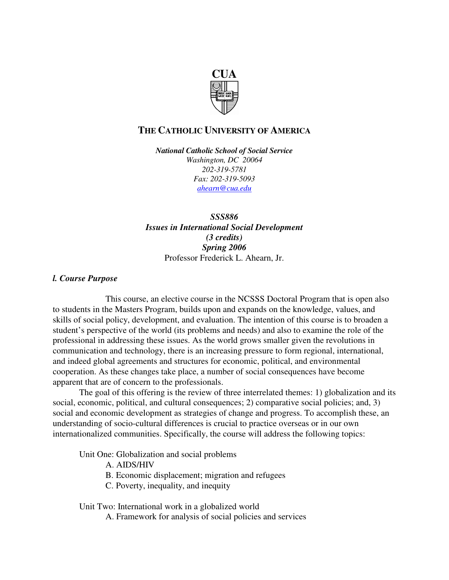

# **THE CATHOLIC UNIVERSITY OF AMERICA**

*National Catholic School of Social Service Washington, DC 20064 202-319-5781 Fax: 202-319-5093 ahearn@cua.edu*

*SSS886 Issues in International Social Development (3 credits) Spring 2006* Professor Frederick L. Ahearn, Jr.

# *l. Course Purpose*

This course, an elective course in the NCSSS Doctoral Program that is open also to students in the Masters Program, builds upon and expands on the knowledge, values, and skills of social policy, development, and evaluation. The intention of this course is to broaden a student's perspective of the world (its problems and needs) and also to examine the role of the professional in addressing these issues. As the world grows smaller given the revolutions in communication and technology, there is an increasing pressure to form regional, international, and indeed global agreements and structures for economic, political, and environmental cooperation. As these changes take place, a number of social consequences have become apparent that are of concern to the professionals.

The goal of this offering is the review of three interrelated themes: 1) globalization and its social, economic, political, and cultural consequences; 2) comparative social policies; and, 3) social and economic development as strategies of change and progress. To accomplish these, an understanding of socio-cultural differences is crucial to practice overseas or in our own internationalized communities. Specifically, the course will address the following topics:

Unit One: Globalization and social problems

- A. AIDS/HIV
- B. Economic displacement; migration and refugees
- C. Poverty, inequality, and inequity

Unit Two: International work in a globalized world

A. Framework for analysis of social policies and services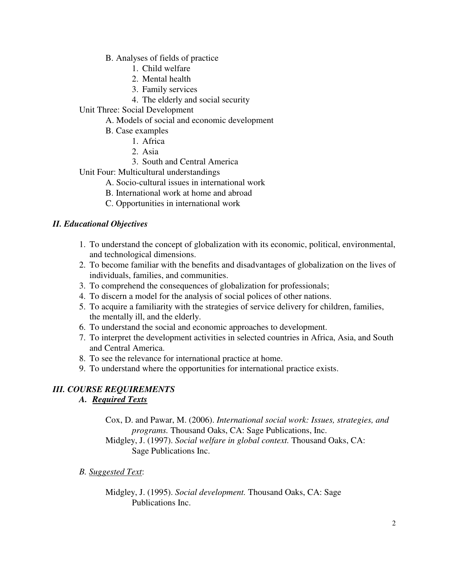- B. Analyses of fields of practice
	- 1. Child welfare
	- 2. Mental health
	- 3. Family services
	- 4. The elderly and social security
- Unit Three: Social Development
	- A. Models of social and economic development
	- B. Case examples
		- 1. Africa
			- 2. Asia
			- 3. South and Central America
- Unit Four: Multicultural understandings
	- A. Socio-cultural issues in international work
	- B. International work at home and abroad
	- C. Opportunities in international work

# *II. Educational Objectives*

- 1. To understand the concept of globalization with its economic, political, environmental, and technological dimensions.
- 2. To become familiar with the benefits and disadvantages of globalization on the lives of individuals, families, and communities.
- 3. To comprehend the consequences of globalization for professionals;
- 4. To discern a model for the analysis of social polices of other nations.
- 5. To acquire a familiarity with the strategies of service delivery for children, families, the mentally ill, and the elderly.
- 6. To understand the social and economic approaches to development.
- 7. To interpret the development activities in selected countries in Africa, Asia, and South and Central America.
- 8. To see the relevance for international practice at home.
- 9. To understand where the opportunities for international practice exists.

# *III. COURSE REQUIREMENTS*

# *A. Required Texts*

Cox, D. and Pawar, M. (2006). *International social work: Issues, strategies, and programs.* Thousand Oaks, CA: Sage Publications, Inc. Midgley, J. (1997). *Social welfare in global context.* Thousand Oaks, CA: Sage Publications Inc.

# *B. Suggested Text*:

Midgley, J. (1995). *Social development.* Thousand Oaks, CA: Sage Publications Inc.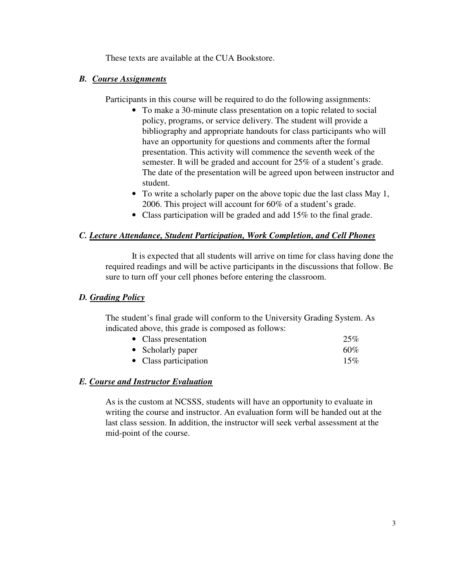These texts are available at the CUA Bookstore.

# *B. Course Assignments*

Participants in this course will be required to do the following assignments:

- To make a 30-minute class presentation on a topic related to social policy, programs, or service delivery. The student will provide a bibliography and appropriate handouts for class participants who will have an opportunity for questions and comments after the formal presentation. This activity will commence the seventh week of the semester. It will be graded and account for 25% of a student's grade. The date of the presentation will be agreed upon between instructor and student.
- To write a scholarly paper on the above topic due the last class May 1, 2006. This project will account for 60% of a student's grade.
- Class participation will be graded and add 15% to the final grade.

# *C. Lecture Attendance, Student Participation, Work Completion, and Cell Phones*

It is expected that all students will arrive on time for class having done the required readings and will be active participants in the discussions that follow. Be sure to turn off your cell phones before entering the classroom.

# *D. Grading Policy*

The student's final grade will conform to the University Grading System. As indicated above, this grade is composed as follows:

| • Class presentation  | 25%    |
|-----------------------|--------|
| • Scholarly paper     | $60\%$ |
| • Class participation | 15%    |

# *E. Course and Instructor Evaluation*

As is the custom at NCSSS, students will have an opportunity to evaluate in writing the course and instructor. An evaluation form will be handed out at the last class session. In addition, the instructor will seek verbal assessment at the mid-point of the course.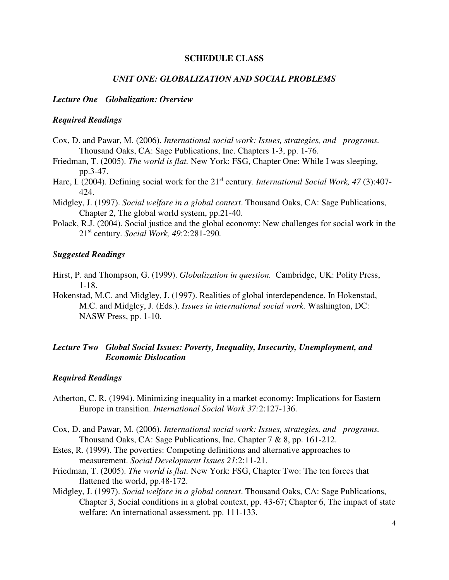#### **SCHEDULE CLASS**

#### *UNIT ONE: GLOBALIZATION AND SOCIAL PROBLEMS*

#### *Lecture One Globalization: Overview*

#### *Required Readings*

- Cox, D. and Pawar, M. (2006). *International social work: Issues, strategies, and programs.* Thousand Oaks, CA: Sage Publications, Inc. Chapters 1-3, pp. 1-76.
- Friedman, T. (2005). *The world is flat.* New York: FSG, Chapter One: While I was sleeping, pp.3-47.
- Hare, I. (2004). Defining social work for the 21<sup>st</sup> century. *International Social Work, 47* (3):407-424.
- Midgley, J. (1997). *Social welfare in a global context*. Thousand Oaks, CA: Sage Publications, Chapter 2, The global world system, pp.21-40.
- Polack, R.J. (2004). Social justice and the global economy: New challenges for social work in the 21 st century. *Social Work, 49*:2:281-290*.*

#### *Suggested Readings*

- Hirst, P. and Thompson, G. (1999). *Globalization in question.* Cambridge, UK: Polity Press, 1-18.
- Hokenstad, M.C. and Midgley, J. (1997). Realities of global interdependence. In Hokenstad, M.C. and Midgley, J. (Eds.). *Issues in international social work.* Washington, DC: NASW Press, pp. 1-10.

# *Lecture Two Global Social Issues: Poverty, Inequality, Insecurity, Unemployment, and Economic Dislocation*

- Atherton, C. R. (1994). Minimizing inequality in a market economy: Implications for Eastern Europe in transition. *International Social Work 37:*2:127-136.
- Cox, D. and Pawar, M. (2006). *International social work: Issues, strategies, and programs.* Thousand Oaks, CA: Sage Publications, Inc. Chapter 7 & 8, pp. 161-212.
- Estes, R. (1999). The poverties: Competing definitions and alternative approaches to measurement. *Social Development Issues 21*:2:11-21.
- Friedman, T. (2005). *The world is flat.* New York: FSG, Chapter Two: The ten forces that flattened the world, pp.48-172.
- Midgley, J. (1997). *Social welfare in a global context*. Thousand Oaks, CA: Sage Publications, Chapter 3, Social conditions in a global context, pp. 43-67; Chapter 6, The impact of state welfare: An international assessment, pp. 111-133.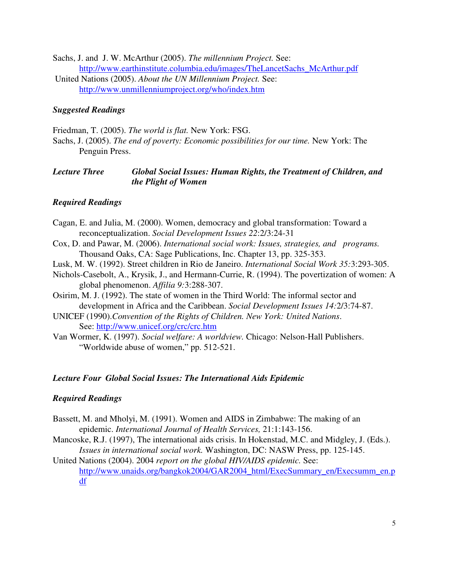Sachs, J. and J. W. McArthur (2005). *The millennium Project.* See: http://www.earthinstitute.columbia.edu/images/TheLancetSachs\_McArthur.pdf United Nations (2005). *About the UN Millennium Project.* See: http://www.unmillenniumproject.org/who/index.htm

### *Suggested Readings*

Friedman, T. (2005). *The world is flat.* New York: FSG. Sachs, J. (2005). *The end of poverty: Economic possibilities for our time.* New York: The Penguin Press.

### *Lecture Three Global Social Issues: Human Rights, the Treatment of Children, and the Plight of Women*

# *Required Readings*

- Cagan, E. and Julia, M. (2000). Women, democracy and global transformation: Toward a reconceptualization. *Social Development Issues 22*:2/3:24-31
- Cox, D. and Pawar, M. (2006). *International social work: Issues, strategies, and programs.* Thousand Oaks, CA: Sage Publications, Inc. Chapter 13, pp. 325-353.
- Lusk, M. W. (1992). Street children in Rio de Janeiro. *International Social Work 35:*3:293-305.
- Nichols-Casebolt, A., Krysik, J., and Hermann-Currie, R. (1994). The povertization of women: A global phenomenon. *Affilia 9:*3:288-307.
- Osirim, M. J. (1992). The state of women in the Third World: The informal sector and development in Africa and the Caribbean. *Social Development Issues 14:*2/3:74-87.
- UNICEF (1990).*Convention of the Rights of Children. New York: United Nations*. See: http://www.unicef.org/crc/crc.htm
- Van Wormer, K. (1997). *Social welfare: A worldview.* Chicago: Nelson-Hall Publishers. "Worldwide abuse of women," pp. 512-521.

#### *Lecture Four Global Social Issues: The International Aids Epidemic*

#### *Required Readings*

- Bassett, M. and Mholyi, M. (1991). Women and AIDS in Zimbabwe: The making of an epidemic. *International Journal of Health Services,* 21:1:143-156.
- Mancoske, R.J. (1997), The international aids crisis. In Hokenstad, M.C. and Midgley, J. (Eds.). *Issues in international social work.* Washington, DC: NASW Press, pp. 125-145.

United Nations (2004). 2004 *report on the global HIV/AIDS epidemic.* See: http://www.unaids.org/bangkok2004/GAR2004\_html/ExecSummary\_en/Execsumm\_en.p df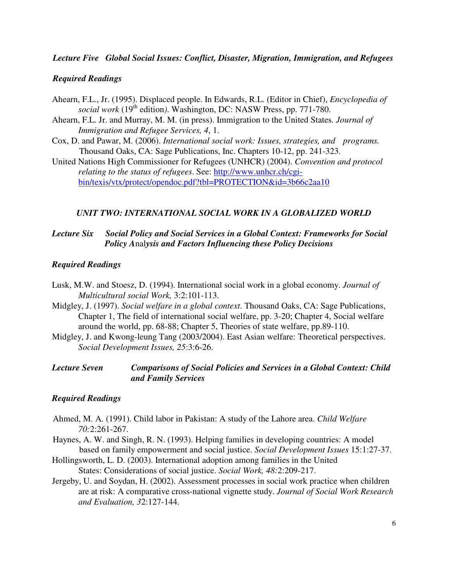# *Lecture Five Global Social Issues: Conflict, Disaster, Migration, Immigration, and Refugees*

#### *Required Readings*

- Ahearn, F.L., Jr. (1995). Displaced people. In Edwards, R.L. (Editor in Chief), *Encyclopedia of* social work (19<sup>th</sup> edition). Washington, DC: NASW Press, pp. 771-780.
- Ahearn, F.L. Jr. and Murray, M. M. (in press). Immigration to the United States*. Journal of Immigration and Refugee Services, 4*, 1.
- Cox, D. and Pawar, M. (2006). *International social work: Issues, strategies, and programs.* Thousand Oaks, CA: Sage Publications, Inc. Chapters 10-12, pp. 241-323.
- United Nations High Commissioner for Refugees (UNHCR) (2004). *Convention and protocol relating to the status of refugees*. See: http://www.unhcr.ch/cgibin/texis/vtx/protect/opendoc.pdf?tbl=PROTECTION&id=3b66c2aa10

#### *UNIT TWO: INTERNATIONAL SOCIAL WORK IN A GLOBALIZED WORLD*

# *Lecture Six Social Policy and Social Services in a Global Context: Frameworks for Social Policy A*nal*ysis and Factors Influencing these Policy Decisions*

#### *Required Readings*

- Lusk, M.W. and Stoesz, D. (1994). International social work in a global economy. *Journal of Multicultural social Work,* 3:2:101-113.
- Midgley, J. (1997). *Social welfare in a global context*. Thousand Oaks, CA: Sage Publications, Chapter 1, The field of international social welfare, pp. 3-20; Chapter 4, Social welfare around the world, pp. 68-88; Chapter 5, Theories of state welfare, pp.89-110.
- Midgley, J. and Kwong-leung Tang (2003/2004). East Asian welfare: Theoretical perspectives. *Social Development Issues, 25*:3:6-26.
- *Lecture Seven Comparisons of Social Policies and Services in a Global Context: Child and Family Services*

- Ahmed, M. A. (1991). Child labor in Pakistan: A study of the Lahore area. *Child Welfare 70:*2:261-267.
- Haynes, A. W. and Singh, R. N. (1993). Helping families in developing countries: A model based on family empowerment and social justice. *Social Development Issues* 15:1:27-37.
- Hollingsworth, L. D. (2003). International adoption among families in the United States: Considerations of social justice. *Social Work, 48:*2:209-217.
- Jergeby, U. and Soydan, H. (2002). Assessment processes in social work practice when children are at risk: A comparative cross-national vignette study. *Journal of Social Work Research and Evaluation, 3*2:127-144.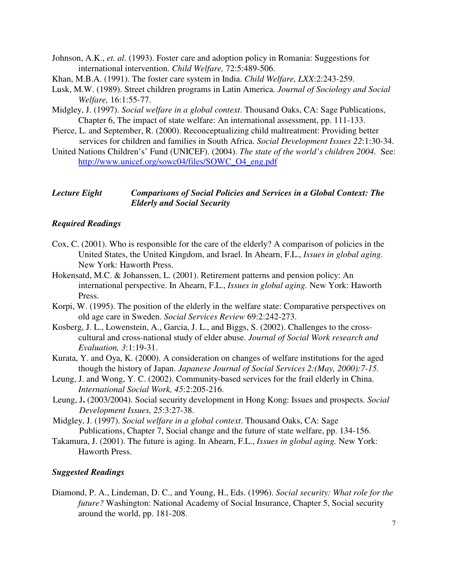- Johnson, A.K., *et. al.* (1993). Foster care and adoption policy in Romania: Suggestions for international intervention. *Child Welfare,* 72:5:489-506.
- Khan, M.B.A. (1991). The foster care system in India. *Child Welfare, LXX*:2:243-259.
- Lusk, M.W. (1989). Street children programs in Latin America. *Journal of Sociology and Social Welfare,* 16:1:55-77.
- Midgley, J. (1997). *Social welfare in a global context*. Thousand Oaks, CA: Sage Publications, Chapter 6, The impact of state welfare: An international assessment, pp. 111-133.
- Pierce, L. and September, R. (2000). Reconceptualizing child maltreatment: Providing better services for children and families in South Africa. *Social Development Issues 22*:1:30-34.
- United Nations Children's' Fund (UNICEF). (2004). *The state of the world's children 2004.* See: http://www.unicef.org/sowc04/files/SOWC\_O4\_eng.pdf

# *Lecture Eight Comparisons of Social Policies and Services in a Global Context: The Elderly and Social Security*

# *Required Readings*

- Cox, C. (2001). Who is responsible for the care of the elderly? A comparison of policies in the United States, the United Kingdom, and Israel. In Ahearn, F.L., *Issues in global aging.* New York: Haworth Press.
- Hokensatd, M.C. & Johanssen, L. (2001). Retirement patterns and pension policy: An international perspective. In Ahearn, F.L., *Issues in global aging.* New York: Haworth Press.
- Korpi, W. (1995). The position of the elderly in the welfare state: Comparative perspectives on old age care in Sweden. *Social Services Review* 69:2:242-273.
- Kosberg, J. L., Lowenstein, A., Garcia, J. L., and Biggs, S. (2002). Challenges to the crosscultural and cross-national study of elder abuse. *Journal of Social Work research and Evaluation, 3*:1:19-31.
- Kurata, Y. and Oya, K. (2000). A consideration on changes of welfare institutions for the aged though the history of Japan. *Japanese Journal of Social Services 2:(May, 2000):7-15.*
- Leung, J. and Wong, Y. C. (2002). Community-based services for the frail elderly in China. *International Social Work, 45*:2:205-216.
- Leung, J**.** (2003/2004). Social security development in Hong Kong: Issues and prospects. *Social Development Issues, 25*:3:27-38.
- Midgley, J. (1997). *Social welfare in a global context*. Thousand Oaks, CA: Sage Publications, Chapter 7, Social change and the future of state welfare, pp. 134-156.
- Takamura, J. (2001). The future is aging. In Ahearn, F.L., *Issues in global aging.* New York: Haworth Press.

#### *Suggested Readings*

Diamond, P. A., Lindeman, D. C., and Young, H., Eds. (1996). *Social security: What role for the future?* Washington: National Academy of Social Insurance, Chapter 5, Social security around the world, pp. 181-208.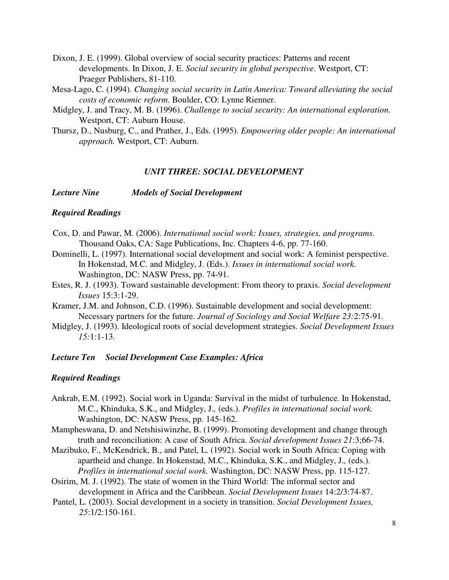- Dixon, J. E. (1999). Global overview of social security practices: Patterns and recent developments. In Dixon, J. E. *Social security in global perspective*. Westport, CT: Praeger Publishers, 81-110.
- Mesa-Lago, C. (1994). *Changing social security in Latin America: Toward alleviating the social costs of economic reform*. Boulder, CO: Lynne Rienner.
- Midgley, J. and Tracy, M. B. (1996). *Challenge to social security: An international exploration*. Westport, CT: Auburn House.
- Thursz, D., Nusburg, C., and Prather, J., Eds. (1995). *Empowering older people: An international approach.* Westport, CT: Auburn.

### *UNIT THREE: SOCIAL DEVELOPMENT*

*Lecture Nine Models of Social Development*

#### *Required Readings*

- Cox, D. and Pawar, M. (2006). *International social work: Issues, strategies, and programs.* Thousand Oaks, CA: Sage Publications, Inc. Chapters 4-6, pp. 77-160.
- Dominelli, L. (1997). International social development and social work: A feminist perspective. In Hokenstad, M.C. and Midgley, J. (Eds.). *Issues in international social work.* Washington, DC: NASW Press, pp. 74-91.
- Estes, R. J. (1993). Toward sustainable development: From theory to praxis. *Social development Issues* 15:3:1-29.
- Kramer, J.M. and Johnson, C.D. (1996). Sustainable development and social development: Necessary partners for the future. *Journal of Sociology and Social Welfare 23:*2:75-91.
- Midgley, J. (1993). Ideological roots of social development strategies. *Social Development Issues 15:*1:1-13.

#### *Lecture Ten Social Development Case Examples: Africa*

- Ankrab, E.M. (1992). Social work in Uganda: Survival in the midst of turbulence. In Hokenstad, M.C., Khinduka, S.K., and Midgley, J.*,* (eds.). *Profiles in international social work.* Washington, DC: NASW Press, pp. 145-162.
- Mampheswana, D. and Netshisiwinzhe, B. (1999). Promoting development and change through truth and reconciliation: A case of South Africa. *Social development Issues 21*:3;66-74.
- Mazibuko, F., McKendrick, B., and Patel, L. (1992). Social work in South Africa: Coping with apartheid and change. In Hokenstad, M.C., Khinduka, S.K., and Midgley, J.*,* (eds.). *Profiles in international social work.* Washington, DC: NASW Press, pp. 115-127.
- Osirim, M. J. (1992). The state of women in the Third World: The informal sector and development in Africa and the Caribbean. *Social Development Issues* 14:2/3:74-87.
- Pantel, L. (2003). Social development in a society in transition. *Social Development Issues, 25*:1/2:150-161.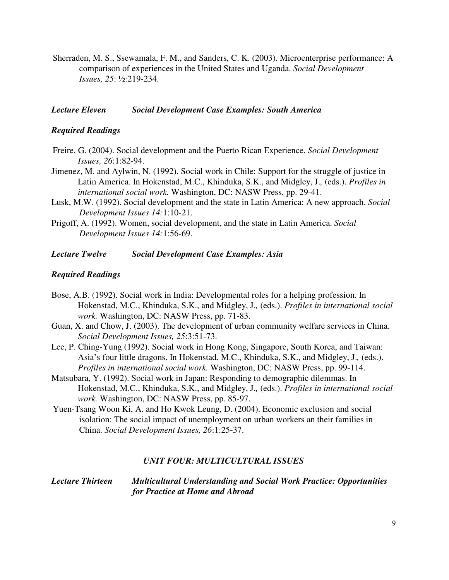Sherraden, M. S., Ssewamala, F. M., and Sanders, C. K. (2003). Microenterprise performance: A comparison of experiences in the United States and Uganda. *Social Development Issues, 25*: ½:219-234.

#### *Lecture Eleven Social Development Case Examples: South America*

#### *Required Readings*

- Freire, G. (2004). Social development and the Puerto Rican Experience. *Social Development Issues, 26*:1:82-94.
- Jimenez, M. and Aylwin, N. (1992). Social work in Chile: Support for the struggle of justice in Latin America. In Hokenstad, M.C., Khinduka, S.K., and Midgley, J.*,* (eds.). *Profiles in international social work.* Washington, DC: NASW Press, pp. 29-41.
- Lusk, M.W. (1992). Social development and the state in Latin America: A new approach. *Social Development Issues 14:*1:10-21.
- Prigoff, A. (1992). Women, social development, and the state in Latin America. *Social Development Issues 14:*1:56-69.

#### *Lecture Twelve Social Development Case Examples: Asia*

#### *Required Readings*

- Bose, A.B. (1992). Social work in India: Developmental roles for a helping profession. In Hokenstad, M.C., Khinduka, S.K., and Midgley, J.*,* (eds.). *Profiles in international social work.* Washington, DC: NASW Press, pp. 71-83.
- Guan, X. and Chow, J. (2003). The development of urban community welfare services in China. *Social Development Issues, 25*:3:51-73.
- Lee, P. Ching-Yung (1992). Social work in Hong Kong, Singapore, South Korea, and Taiwan: Asia's four little dragons. In Hokenstad, M.C., Khinduka, S.K., and Midgley, J.*,* (eds.). *Profiles in international social work.* Washington, DC: NASW Press, pp. 99-114.
- Matsubara, Y. (1992). Social work in Japan: Responding to demographic dilemmas. In Hokenstad, M.C., Khinduka, S.K., and Midgley, J.*,* (eds.). *Profiles in international social work.* Washington, DC: NASW Press, pp. 85-97.
- Yuen-Tsang Woon Ki, A. and Ho Kwok Leung, D. (2004). Economic exclusion and social isolation: The social impact of unemployment on urban workers an their families in China. *Social Development Issues, 26*:1:25-37.

#### *UNIT FOUR: MULTICULTURAL ISSUES*

### *Lecture Thirteen Multicultural Understanding and Social Work Practice: Opportunities for Practice at Home and Abroad*